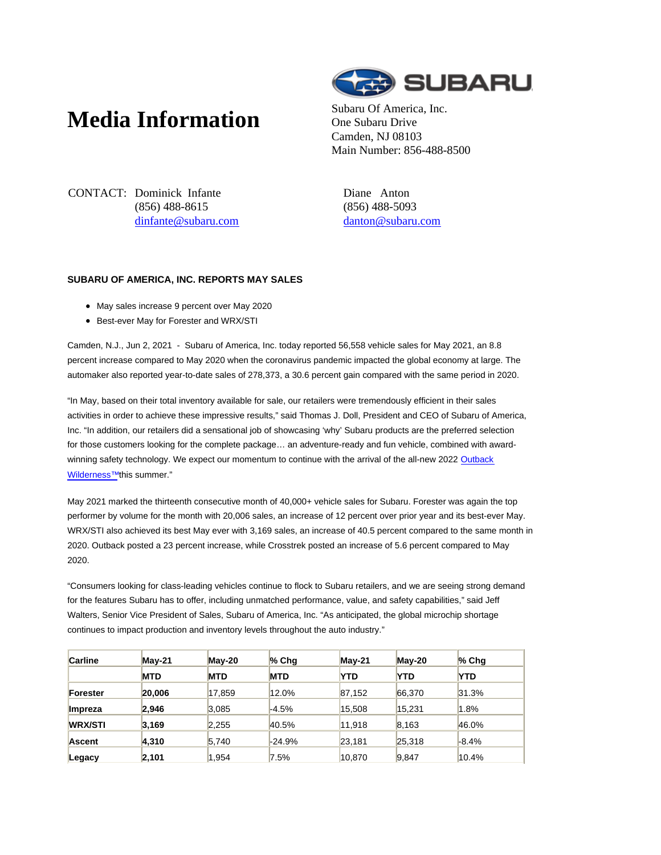## **Media Information** Subaru Of America, Inc.



One Subaru Drive Camden, NJ 08103 Main Number: 856-488-8500

CONTACT: Dominick Infante (856) 488-8615 dinfante@subaru.com Diane Anton (856) 488-5093 danton@subaru.com

## **SUBARU OF AMERICA, INC. REPORTS MAY SALES**

- May sales increase 9 percent over May 2020
- Best-ever May for Forester and WRX/STI

Camden, N.J., Jun 2, 2021 - Subaru of America, Inc. today reported 56,558 vehicle sales for May 2021, an 8.8 percent increase compared to May 2020 when the coronavirus pandemic impacted the global economy at large. The automaker also reported year-to-date sales of 278,373, a 30.6 percent gain compared with the same period in 2020.

"In May, based on their total inventory available for sale, our retailers were tremendously efficient in their sales activities in order to achieve these impressive results," said Thomas J. Doll, President and CEO of Subaru of America, Inc. "In addition, our retailers did a sensational job of showcasing 'why' Subaru products are the preferred selection for those customers looking for the complete package… an adventure-ready and fun vehicle, combined with awardwinning safety technology. We expect our momentum to continue with the arrival of the all-new 2022 Outback Wilderness<sup>™</sup>this summer."

May 2021 marked the thirteenth consecutive month of 40,000+ vehicle sales for Subaru. Forester was again the top performer by volume for the month with 20,006 sales, an increase of 12 percent over prior year and its best-ever May. WRX/STI also achieved its best May ever with 3,169 sales, an increase of 40.5 percent compared to the same month in 2020. Outback posted a 23 percent increase, while Crosstrek posted an increase of 5.6 percent compared to May 2020.

"Consumers looking for class-leading vehicles continue to flock to Subaru retailers, and we are seeing strong demand for the features Subaru has to offer, including unmatched performance, value, and safety capabilities," said Jeff Walters, Senior Vice President of Sales, Subaru of America, Inc. "As anticipated, the global microchip shortage continues to impact production and inventory levels throughout the auto industry."

| <b>Carline</b> | $M$ ay-21  | May-20     | $%$ Chq    | $M$ ay-21  | $Mav-20$   | $%$ Chg    |
|----------------|------------|------------|------------|------------|------------|------------|
|                | <b>MTD</b> | <b>MTD</b> | <b>MTD</b> | <b>YTD</b> | <b>YTD</b> | <b>YTD</b> |
| Forester       | 20,006     | 17,859     | 12.0%      | 87,152     | 66,370     | 31.3%      |
| Impreza        | 2.946      | 3.085      | $-4.5%$    | 15.508     | 15.231     | 1.8%       |
| <b>WRX/STI</b> | 3,169      | 2.255      | 40.5%      | 11.918     | 8.163      | 46.0%      |
| <b>Ascent</b>  | 4,310      | 5,740      | $-24.9%$   | 23,181     | 25,318     | $-8.4%$    |
| Legacy         | 2.101      | 1.954      | 7.5%       | 10.870     | 9.847      | 10.4%      |